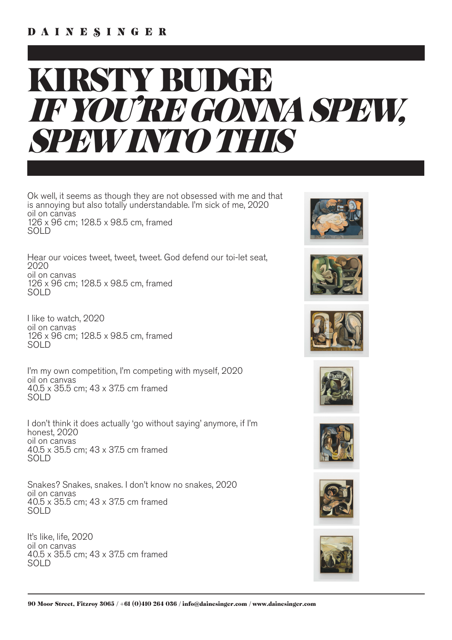## KIRSTY BUDGE *IF YOU'RE GONNA SPEW, SPEW INTO THIS*

Ok well, it seems as though they are not obsessed with me and that is annoying but also totally understandable. I'm sick of me, 2020 oil on canvas 126 x 96 cm; 128.5 x 98.5 cm, framed SOLD

Hear our voices tweet, tweet, tweet. God defend our toi-let seat, 2020 oil on canvas 126 x 96 cm; 128.5 x 98.5 cm, framed SOLD

I like to watch, 2020 oil on canvas 126 x 96 cm; 128.5 x 98.5 cm, framed SOLD

I'm my own competition, I'm competing with myself, 2020 oil on canvas 40.5 x 35.5 cm; 43 x 37.5 cm framed SOLD

I don't think it does actually 'go without saying' anymore, if I'm honest, 2020 oil on canvas 40.5 x 35.5 cm; 43 x 37.5 cm framed SOLD

Snakes? Snakes, snakes. I don't know no snakes, 2020 oil on canvas 40.5 x 35.5 cm; 43 x 37.5 cm framed SOLD

It's like, life, 2020 oil on canvas 40.5 x 35.5 cm; 43 x 37.5 cm framed SOLD













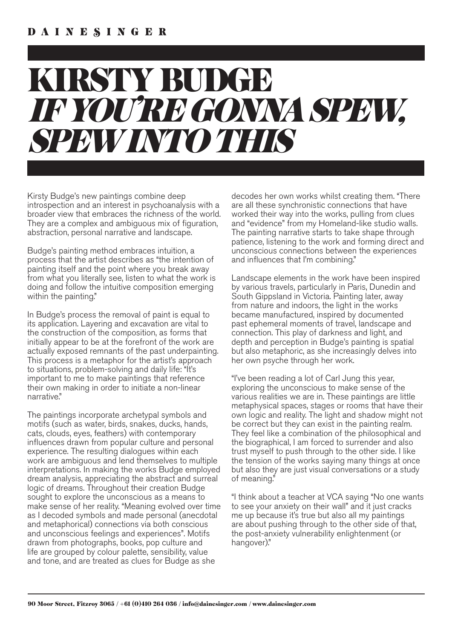## KIRSTY BUDGE *IF YOU'RE GONNA SPEW, SPEW INTO THIS*

Kirsty Budge's new paintings combine deep introspection and an interest in psychoanalysis with a broader view that embraces the richness of the world. They are a complex and ambiguous mix of figuration, abstraction, personal narrative and landscape.

Budge's painting method embraces intuition, a process that the artist describes as "the intention of painting itself and the point where you break away from what you literally see, listen to what the work is doing and follow the intuitive composition emerging within the painting."

In Budge's process the removal of paint is equal to its application. Layering and excavation are vital to the construction of the composition, as forms that initially appear to be at the forefront of the work are actually exposed remnants of the past underpainting. This process is a metaphor for the artist's approach to situations, problem-solving and daily life: "It's important to me to make paintings that reference their own making in order to initiate a non-linear narrative."

The paintings incorporate archetypal symbols and motifs (such as water, birds, snakes, ducks, hands, cats, clouds, eyes, feathers) with contemporary influences drawn from popular culture and personal experience. The resulting dialogues within each work are ambiguous and lend themselves to multiple interpretations. In making the works Budge employed dream analysis, appreciating the abstract and surreal logic of dreams. Throughout their creation Budge sought to explore the unconscious as a means to make sense of her reality. "Meaning evolved over time as I decoded symbols and made personal (anecdotal and metaphorical) connections via both conscious and unconscious feelings and experiences". Motifs drawn from photographs, books, pop culture and life are grouped by colour palette, sensibility, value and tone, and are treated as clues for Budge as she

decodes her own works whilst creating them. "There are all these synchronistic connections that have worked their way into the works, pulling from clues and "evidence" from my Homeland-like studio walls. The painting narrative starts to take shape through patience, listening to the work and forming direct and unconscious connections between the experiences and influences that I'm combining."

Landscape elements in the work have been inspired by various travels, particularly in Paris, Dunedin and South Gippsland in Victoria. Painting later, away from nature and indoors, the light in the works became manufactured, inspired by documented past ephemeral moments of travel, landscape and connection. This play of darkness and light, and depth and perception in Budge's painting is spatial but also metaphoric, as she increasingly delves into her own psyche through her work.

"I've been reading a lot of Carl Jung this year, exploring the unconscious to make sense of the various realities we are in. These paintings are little metaphysical spaces, stages or rooms that have their own logic and reality. The light and shadow might not be correct but they can exist in the painting realm. They feel like a combination of the philosophical and the biographical, I am forced to surrender and also trust myself to push through to the other side. I like the tension of the works saying many things at once but also they are just visual conversations or a study of meaning."

"I think about a teacher at VCA saying "No one wants to see your anxiety on their wall" and it just cracks me up because it's true but also all my paintings are about pushing through to the other side of that, the post-anxiety vulnerability enlightenment (or hangover)."